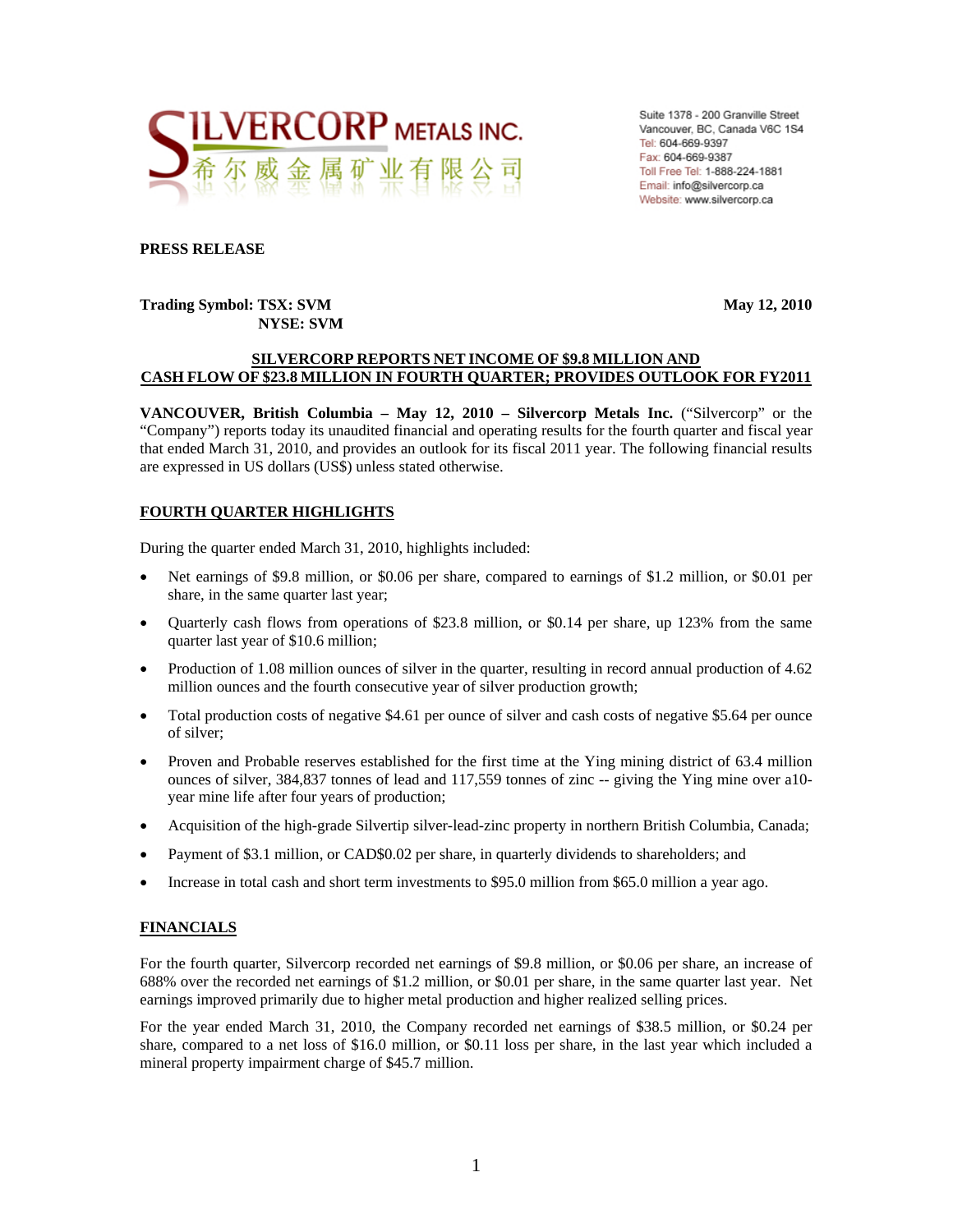

Suite 1378 - 200 Granville Street Vancouver, BC, Canada V6C 1S4 Tel: 604-669-9397 Fax: 604-669-9387 Toll Free Tel: 1-888-224-1881 Email: info@silvercorp.ca Website: www.silvercorp.ca

### **PRESS RELEASE**

### **Trading Symbol: TSX: SVM May 12, 2010 NYSE: SVM**

### **SILVERCORP REPORTS NET INCOME OF \$9.8 MILLION AND CASH FLOW OF \$23.8 MILLION IN FOURTH QUARTER; PROVIDES OUTLOOK FOR FY2011**

**VANCOUVER, British Columbia – May 12, 2010 – Silvercorp Metals Inc.** ("Silvercorp" or the "Company") reports today its unaudited financial and operating results for the fourth quarter and fiscal year that ended March 31, 2010, and provides an outlook for its fiscal 2011 year. The following financial results are expressed in US dollars (US\$) unless stated otherwise.

### **FOURTH QUARTER HIGHLIGHTS**

During the quarter ended March 31, 2010, highlights included:

- Net earnings of \$9.8 million, or \$0.06 per share, compared to earnings of \$1.2 million, or \$0.01 per share, in the same quarter last year;
- Quarterly cash flows from operations of \$23.8 million, or \$0.14 per share, up 123% from the same quarter last year of \$10.6 million;
- Production of 1.08 million ounces of silver in the quarter, resulting in record annual production of 4.62 million ounces and the fourth consecutive year of silver production growth;
- Total production costs of negative \$4.61 per ounce of silver and cash costs of negative \$5.64 per ounce of silver;
- Proven and Probable reserves established for the first time at the Ying mining district of 63.4 million ounces of silver, 384,837 tonnes of lead and 117,559 tonnes of zinc -- giving the Ying mine over a10 year mine life after four years of production;
- Acquisition of the high-grade Silvertip silver-lead-zinc property in northern British Columbia, Canada;
- Payment of \$3.1 million, or CAD\$0.02 per share, in quarterly dividends to shareholders; and
- Increase in total cash and short term investments to \$95.0 million from \$65.0 million a year ago.

### **FINANCIALS**

For the fourth quarter, Silvercorp recorded net earnings of \$9.8 million, or \$0.06 per share, an increase of 688% over the recorded net earnings of \$1.2 million, or \$0.01 per share, in the same quarter last year. Net earnings improved primarily due to higher metal production and higher realized selling prices.

For the year ended March 31, 2010, the Company recorded net earnings of \$38.5 million, or \$0.24 per share, compared to a net loss of \$16.0 million, or \$0.11 loss per share, in the last year which included a mineral property impairment charge of \$45.7 million.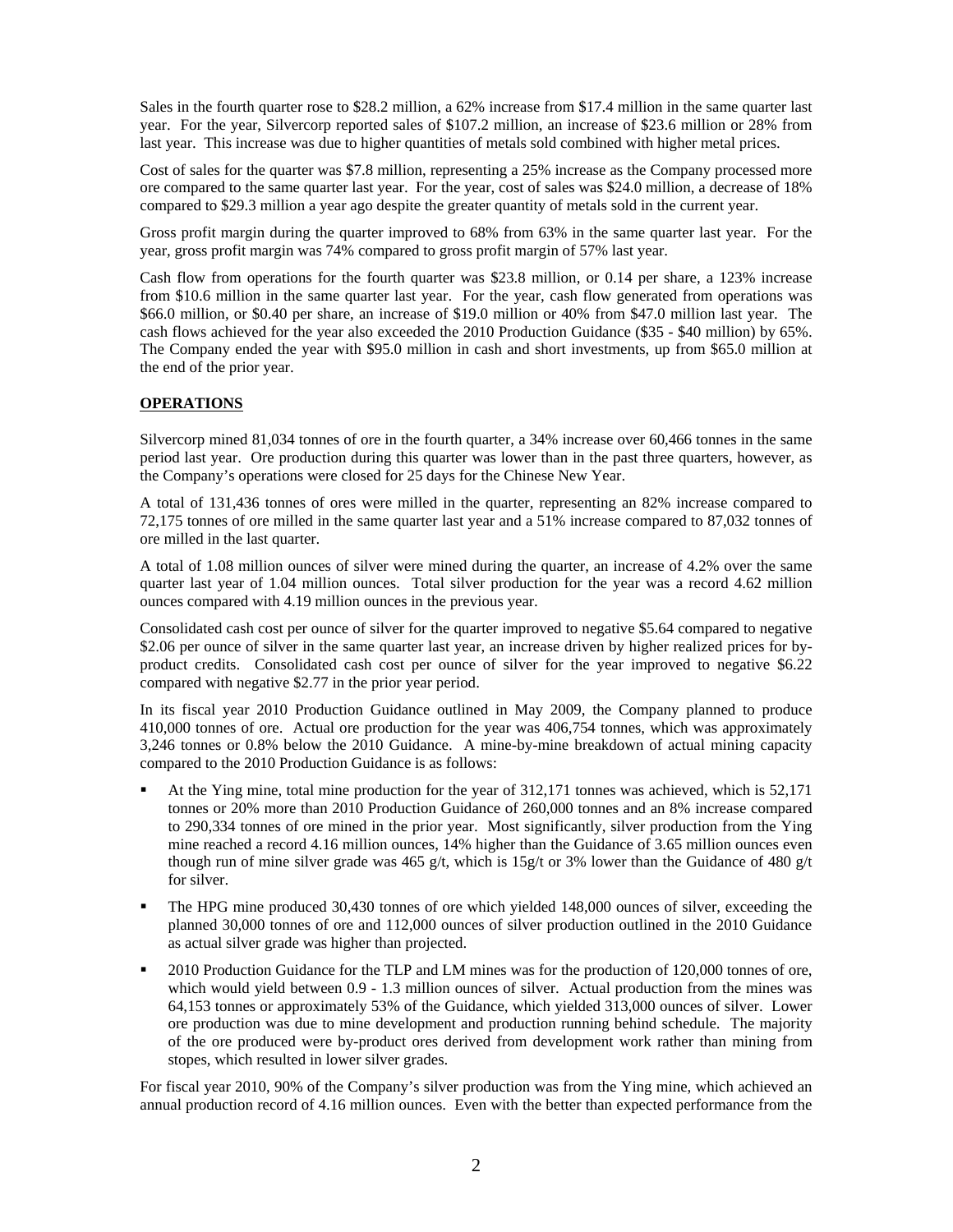Sales in the fourth quarter rose to \$28.2 million, a 62% increase from \$17.4 million in the same quarter last year. For the year, Silvercorp reported sales of \$107.2 million, an increase of \$23.6 million or 28% from last year. This increase was due to higher quantities of metals sold combined with higher metal prices.

Cost of sales for the quarter was \$7.8 million, representing a 25% increase as the Company processed more ore compared to the same quarter last year. For the year, cost of sales was \$24.0 million, a decrease of 18% compared to \$29.3 million a year ago despite the greater quantity of metals sold in the current year.

Gross profit margin during the quarter improved to 68% from 63% in the same quarter last year. For the year, gross profit margin was 74% compared to gross profit margin of 57% last year.

Cash flow from operations for the fourth quarter was \$23.8 million, or 0.14 per share, a 123% increase from \$10.6 million in the same quarter last year. For the year, cash flow generated from operations was \$66.0 million, or \$0.40 per share, an increase of \$19.0 million or 40% from \$47.0 million last year. The cash flows achieved for the year also exceeded the 2010 Production Guidance (\$35 - \$40 million) by 65%. The Company ended the year with \$95.0 million in cash and short investments, up from \$65.0 million at the end of the prior year.

### **OPERATIONS**

Silvercorp mined 81,034 tonnes of ore in the fourth quarter, a 34% increase over 60,466 tonnes in the same period last year. Ore production during this quarter was lower than in the past three quarters, however, as the Company's operations were closed for 25 days for the Chinese New Year.

A total of 131,436 tonnes of ores were milled in the quarter, representing an 82% increase compared to 72,175 tonnes of ore milled in the same quarter last year and a 51% increase compared to 87,032 tonnes of ore milled in the last quarter.

A total of 1.08 million ounces of silver were mined during the quarter, an increase of 4.2% over the same quarter last year of 1.04 million ounces. Total silver production for the year was a record 4.62 million ounces compared with 4.19 million ounces in the previous year.

Consolidated cash cost per ounce of silver for the quarter improved to negative \$5.64 compared to negative \$2.06 per ounce of silver in the same quarter last year, an increase driven by higher realized prices for byproduct credits. Consolidated cash cost per ounce of silver for the year improved to negative \$6.22 compared with negative \$2.77 in the prior year period.

In its fiscal year 2010 Production Guidance outlined in May 2009, the Company planned to produce 410,000 tonnes of ore. Actual ore production for the year was 406,754 tonnes, which was approximately 3,246 tonnes or 0.8% below the 2010 Guidance. A mine-by-mine breakdown of actual mining capacity compared to the 2010 Production Guidance is as follows:

- At the Ying mine, total mine production for the year of 312,171 tonnes was achieved, which is 52,171 tonnes or 20% more than 2010 Production Guidance of 260,000 tonnes and an 8% increase compared to 290,334 tonnes of ore mined in the prior year. Most significantly, silver production from the Ying mine reached a record 4.16 million ounces, 14% higher than the Guidance of 3.65 million ounces even though run of mine silver grade was 465 g/t, which is 15g/t or 3% lower than the Guidance of 480 g/t for silver.
- The HPG mine produced 30,430 tonnes of ore which yielded 148,000 ounces of silver, exceeding the planned 30,000 tonnes of ore and 112,000 ounces of silver production outlined in the 2010 Guidance as actual silver grade was higher than projected.
- 2010 Production Guidance for the TLP and LM mines was for the production of 120,000 tonnes of ore, which would yield between 0.9 - 1.3 million ounces of silver. Actual production from the mines was 64,153 tonnes or approximately 53% of the Guidance, which yielded 313,000 ounces of silver. Lower ore production was due to mine development and production running behind schedule. The majority of the ore produced were by-product ores derived from development work rather than mining from stopes, which resulted in lower silver grades.

For fiscal year 2010, 90% of the Company's silver production was from the Ying mine, which achieved an annual production record of 4.16 million ounces. Even with the better than expected performance from the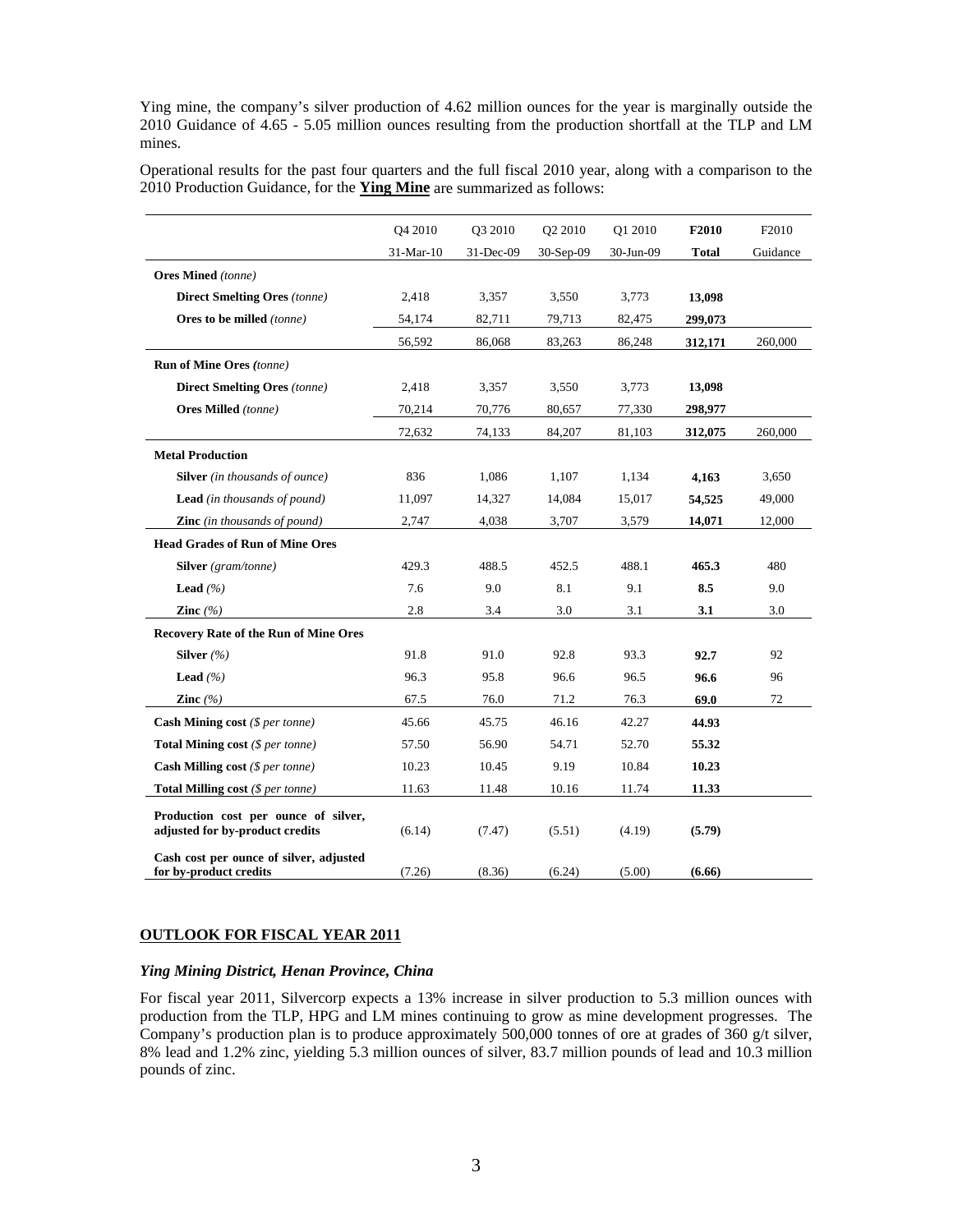Ying mine, the company's silver production of 4.62 million ounces for the year is marginally outside the 2010 Guidance of 4.65 - 5.05 million ounces resulting from the production shortfall at the TLP and LM mines.

Operational results for the past four quarters and the full fiscal 2010 year, along with a comparison to the 2010 Production Guidance, for the **Ying Mine** are summarized as follows:

|                                                                         | Q4 2010   | Q3 2010   | Q2 2010   | Q1 2010   | F2010        | F2010    |
|-------------------------------------------------------------------------|-----------|-----------|-----------|-----------|--------------|----------|
|                                                                         | 31-Mar-10 | 31-Dec-09 | 30-Sep-09 | 30-Jun-09 | <b>Total</b> | Guidance |
| <b>Ores Mined</b> (tonne)                                               |           |           |           |           |              |          |
| <b>Direct Smelting Ores</b> (tonne)                                     | 2,418     | 3,357     | 3,550     | 3,773     | 13,098       |          |
| Ores to be milled (tonne)                                               | 54,174    | 82,711    | 79,713    | 82,475    | 299,073      |          |
|                                                                         | 56,592    | 86,068    | 83,263    | 86,248    | 312,171      | 260,000  |
| <b>Run of Mine Ores (tonne)</b>                                         |           |           |           |           |              |          |
| <b>Direct Smelting Ores</b> (tonne)                                     | 2,418     | 3,357     | 3,550     | 3,773     | 13,098       |          |
| <b>Ores Milled</b> (tonne)                                              | 70,214    | 70,776    | 80,657    | 77,330    | 298,977      |          |
|                                                                         | 72,632    | 74,133    | 84,207    | 81,103    | 312,075      | 260,000  |
| <b>Metal Production</b>                                                 |           |           |           |           |              |          |
| <b>Silver</b> (in thousands of ounce)                                   | 836       | 1,086     | 1,107     | 1,134     | 4,163        | 3,650    |
| <b>Lead</b> (in thousands of pound)                                     | 11,097    | 14,327    | 14,084    | 15,017    | 54,525       | 49,000   |
| <b>Zinc</b> (in thousands of pound)                                     | 2,747     | 4,038     | 3,707     | 3,579     | 14,071       | 12,000   |
| <b>Head Grades of Run of Mine Ores</b>                                  |           |           |           |           |              |          |
| <b>Silver</b> (gram/tonne)                                              | 429.3     | 488.5     | 452.5     | 488.1     | 465.3        | 480      |
| <b>Lead</b> $(%$                                                        | 7.6       | 9.0       | 8.1       | 9.1       | 8.5          | 9.0      |
| Zinc $(%$                                                               | 2.8       | 3.4       | 3.0       | 3.1       | 3.1          | 3.0      |
| <b>Recovery Rate of the Run of Mine Ores</b>                            |           |           |           |           |              |          |
| Silver $(%$                                                             | 91.8      | 91.0      | 92.8      | 93.3      | 92.7         | 92       |
| <b>Lead</b> $(%$                                                        | 96.3      | 95.8      | 96.6      | 96.5      | 96.6         | 96       |
| Zinc $(%$                                                               | 67.5      | 76.0      | 71.2      | 76.3      | 69.0         | 72       |
| <b>Cash Mining cost</b> ( $$per$ tonne)                                 | 45.66     | 45.75     | 46.16     | 42.27     | 44.93        |          |
| <b>Total Mining cost</b> ( $$per$ tonne)                                | 57.50     | 56.90     | 54.71     | 52.70     | 55.32        |          |
| <b>Cash Milling cost</b> ( $$per$ tonne)                                | 10.23     | 10.45     | 9.19      | 10.84     | 10.23        |          |
| <b>Total Milling cost</b> ( $$per$ tonne)                               | 11.63     | 11.48     | 10.16     | 11.74     | 11.33        |          |
| Production cost per ounce of silver,<br>adjusted for by-product credits | (6.14)    | (7.47)    | (5.51)    | (4.19)    | (5.79)       |          |
| Cash cost per ounce of silver, adjusted<br>for by-product credits       | (7.26)    | (8.36)    | (6.24)    | (5.00)    | (6.66)       |          |

#### **OUTLOOK FOR FISCAL YEAR 2011**

#### *Ying Mining District, Henan Province, China*

For fiscal year 2011, Silvercorp expects a 13% increase in silver production to 5.3 million ounces with production from the TLP, HPG and LM mines continuing to grow as mine development progresses. The Company's production plan is to produce approximately 500,000 tonnes of ore at grades of 360 g/t silver, 8% lead and 1.2% zinc, yielding 5.3 million ounces of silver, 83.7 million pounds of lead and 10.3 million pounds of zinc.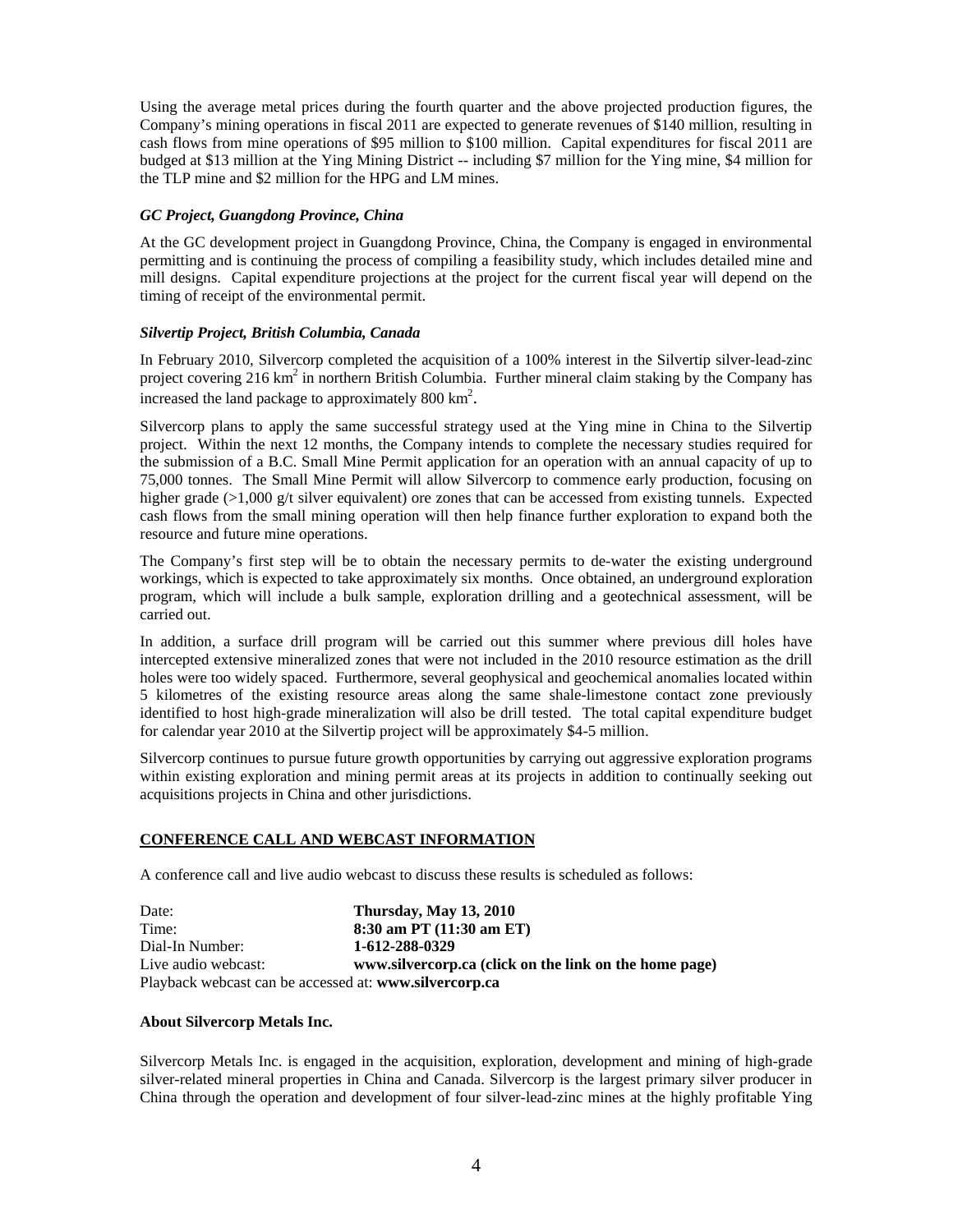Using the average metal prices during the fourth quarter and the above projected production figures, the Company's mining operations in fiscal 2011 are expected to generate revenues of \$140 million, resulting in cash flows from mine operations of \$95 million to \$100 million. Capital expenditures for fiscal 2011 are budged at \$13 million at the Ying Mining District -- including \$7 million for the Ying mine, \$4 million for the TLP mine and \$2 million for the HPG and LM mines.

### *GC Project, Guangdong Province, China*

At the GC development project in Guangdong Province, China, the Company is engaged in environmental permitting and is continuing the process of compiling a feasibility study, which includes detailed mine and mill designs. Capital expenditure projections at the project for the current fiscal year will depend on the timing of receipt of the environmental permit.

### *Silvertip Project, British Columbia, Canada*

In February 2010, Silvercorp completed the acquisition of a 100% interest in the Silvertip silver-lead-zinc project covering 216 km<sup>2</sup> in northern British Columbia. Further mineral claim staking by the Company has increased the land package to approximately  $800 \text{ km}^2$ .

Silvercorp plans to apply the same successful strategy used at the Ying mine in China to the Silvertip project. Within the next 12 months, the Company intends to complete the necessary studies required for the submission of a B.C. Small Mine Permit application for an operation with an annual capacity of up to 75,000 tonnes. The Small Mine Permit will allow Silvercorp to commence early production, focusing on higher grade (>1,000 g/t silver equivalent) ore zones that can be accessed from existing tunnels. Expected cash flows from the small mining operation will then help finance further exploration to expand both the resource and future mine operations.

The Company's first step will be to obtain the necessary permits to de-water the existing underground workings, which is expected to take approximately six months. Once obtained, an underground exploration program, which will include a bulk sample, exploration drilling and a geotechnical assessment, will be carried out.

In addition, a surface drill program will be carried out this summer where previous dill holes have intercepted extensive mineralized zones that were not included in the 2010 resource estimation as the drill holes were too widely spaced. Furthermore, several geophysical and geochemical anomalies located within 5 kilometres of the existing resource areas along the same shale-limestone contact zone previously identified to host high-grade mineralization will also be drill tested. The total capital expenditure budget for calendar year 2010 at the Silvertip project will be approximately \$4-5 million.

Silvercorp continues to pursue future growth opportunities by carrying out aggressive exploration programs within existing exploration and mining permit areas at its projects in addition to continually seeking out acquisitions projects in China and other jurisdictions.

### **CONFERENCE CALL AND WEBCAST INFORMATION**

A conference call and live audio webcast to discuss these results is scheduled as follows:

Date: **Thursday, May 13, 2010**  Time: **8:30 am PT (11:30 am ET)** Dial-In Number: **1-612-288-0329**  Live audio webcast: **www.silvercorp.ca (click on the link on the home page)** Playback webcast can be accessed at: **www.silvercorp.ca**

### **About Silvercorp Metals Inc.**

Silvercorp Metals Inc. is engaged in the acquisition, exploration, development and mining of high-grade silver-related mineral properties in China and Canada. Silvercorp is the largest primary silver producer in China through the operation and development of four silver-lead-zinc mines at the highly profitable Ying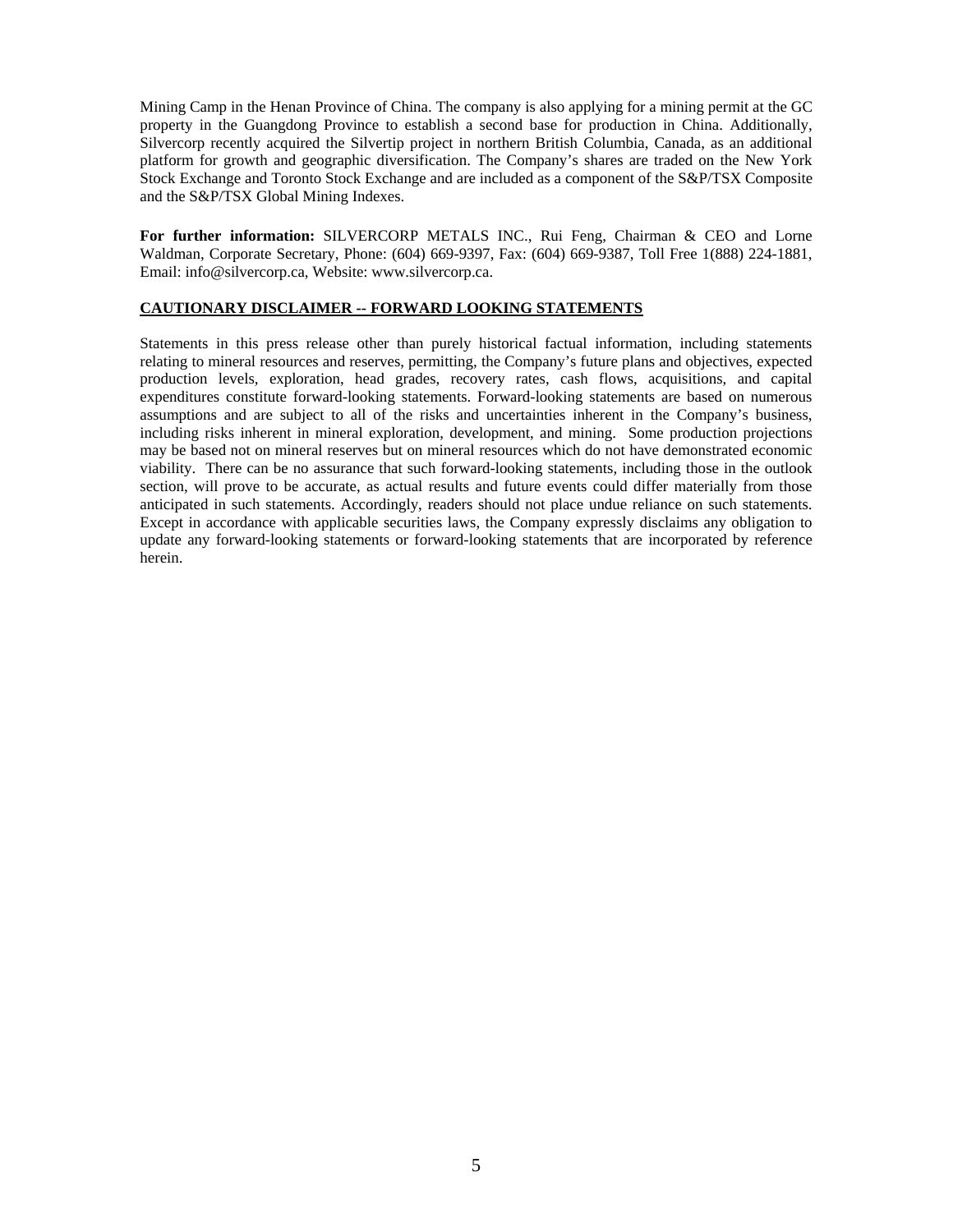Mining Camp in the Henan Province of China. The company is also applying for a mining permit at the GC property in the Guangdong Province to establish a second base for production in China. Additionally, Silvercorp recently acquired the Silvertip project in northern British Columbia, Canada, as an additional platform for growth and geographic diversification. The Company's shares are traded on the New York Stock Exchange and Toronto Stock Exchange and are included as a component of the S&P/TSX Composite and the S&P/TSX Global Mining Indexes.

**For further information:** SILVERCORP METALS INC., Rui Feng, Chairman & CEO and Lorne Waldman, Corporate Secretary, Phone: (604) 669-9397, Fax: (604) 669-9387, Toll Free 1(888) 224-1881, Email: info@silvercorp.ca, Website: www.silvercorp.ca.

### **CAUTIONARY DISCLAIMER -- FORWARD LOOKING STATEMENTS**

Statements in this press release other than purely historical factual information, including statements relating to mineral resources and reserves, permitting, the Company's future plans and objectives, expected production levels, exploration, head grades, recovery rates, cash flows, acquisitions, and capital expenditures constitute forward-looking statements. Forward-looking statements are based on numerous assumptions and are subject to all of the risks and uncertainties inherent in the Company's business, including risks inherent in mineral exploration, development, and mining. Some production projections may be based not on mineral reserves but on mineral resources which do not have demonstrated economic viability. There can be no assurance that such forward-looking statements, including those in the outlook section, will prove to be accurate, as actual results and future events could differ materially from those anticipated in such statements. Accordingly, readers should not place undue reliance on such statements. Except in accordance with applicable securities laws, the Company expressly disclaims any obligation to update any forward-looking statements or forward-looking statements that are incorporated by reference herein.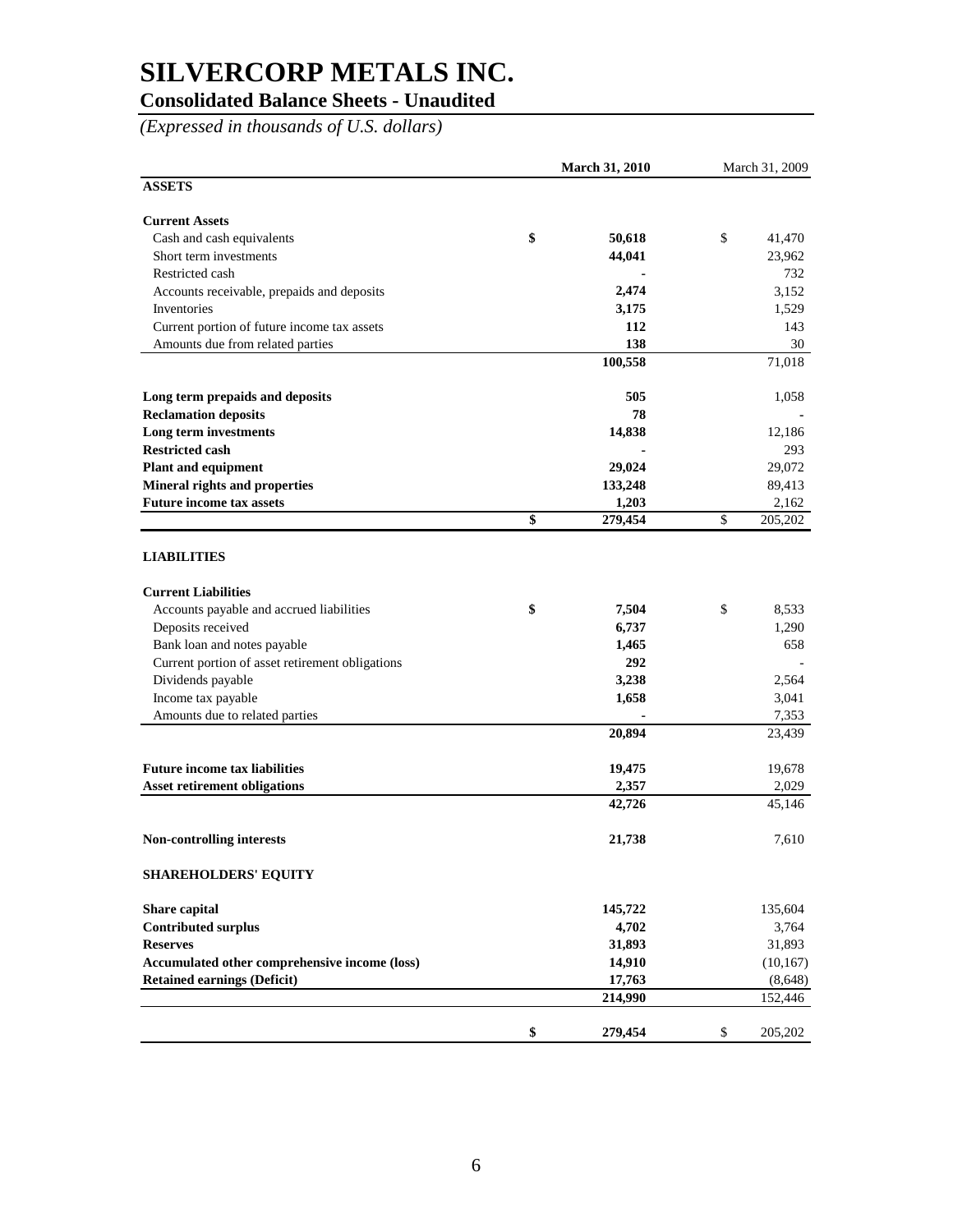## **Consolidated Balance Sheets - Unaudited**

*(Expressed in thousands of U.S. dollars)*

|                                                 | <b>March 31, 2010</b> |         | March 31, 2009 |           |
|-------------------------------------------------|-----------------------|---------|----------------|-----------|
| <b>ASSETS</b>                                   |                       |         |                |           |
| <b>Current Assets</b>                           |                       |         |                |           |
| Cash and cash equivalents                       | \$                    | 50,618  | \$             | 41,470    |
| Short term investments                          |                       | 44,041  |                | 23,962    |
| Restricted cash                                 |                       |         |                | 732       |
| Accounts receivable, prepaids and deposits      |                       | 2,474   |                | 3,152     |
| Inventories                                     |                       | 3,175   |                | 1,529     |
| Current portion of future income tax assets     |                       | 112     |                | 143       |
| Amounts due from related parties                |                       | 138     |                | 30        |
|                                                 |                       | 100,558 |                | 71,018    |
| Long term prepaids and deposits                 |                       | 505     |                | 1,058     |
| <b>Reclamation deposits</b>                     |                       | 78      |                |           |
| Long term investments                           |                       | 14,838  |                | 12,186    |
| <b>Restricted cash</b>                          |                       |         |                | 293       |
| <b>Plant and equipment</b>                      |                       | 29,024  |                | 29,072    |
| Mineral rights and properties                   |                       | 133,248 |                | 89,413    |
| <b>Future income tax assets</b>                 |                       | 1,203   |                | 2,162     |
|                                                 | \$                    | 279,454 | \$             | 205,202   |
| <b>LIABILITIES</b>                              |                       |         |                |           |
| <b>Current Liabilities</b>                      |                       |         |                |           |
| Accounts payable and accrued liabilities        | \$                    | 7,504   | \$             | 8,533     |
| Deposits received                               |                       | 6,737   |                | 1,290     |
| Bank loan and notes payable                     |                       | 1,465   |                | 658       |
| Current portion of asset retirement obligations |                       | 292     |                |           |
| Dividends payable                               |                       | 3,238   |                | 2,564     |
| Income tax payable                              |                       | 1,658   |                | 3,041     |
| Amounts due to related parties                  |                       |         |                | 7,353     |
|                                                 |                       | 20,894  |                | 23,439    |
| <b>Future income tax liabilities</b>            |                       | 19,475  |                | 19,678    |
| <b>Asset retirement obligations</b>             |                       | 2,357   |                | 2,029     |
|                                                 |                       | 42,726  |                | 45,146    |
| Non-controlling interests                       |                       | 21,738  |                | 7,610     |
| <b>SHAREHOLDERS' EQUITY</b>                     |                       |         |                |           |
| Share capital                                   |                       | 145,722 |                | 135,604   |
| <b>Contributed surplus</b>                      |                       | 4,702   |                | 3,764     |
| <b>Reserves</b>                                 |                       | 31,893  |                | 31,893    |
| Accumulated other comprehensive income (loss)   |                       | 14,910  |                | (10, 167) |
| <b>Retained earnings (Deficit)</b>              |                       | 17,763  |                | (8,648)   |
|                                                 |                       | 214,990 |                | 152,446   |
|                                                 | \$                    | 279,454 | \$             | 205,202   |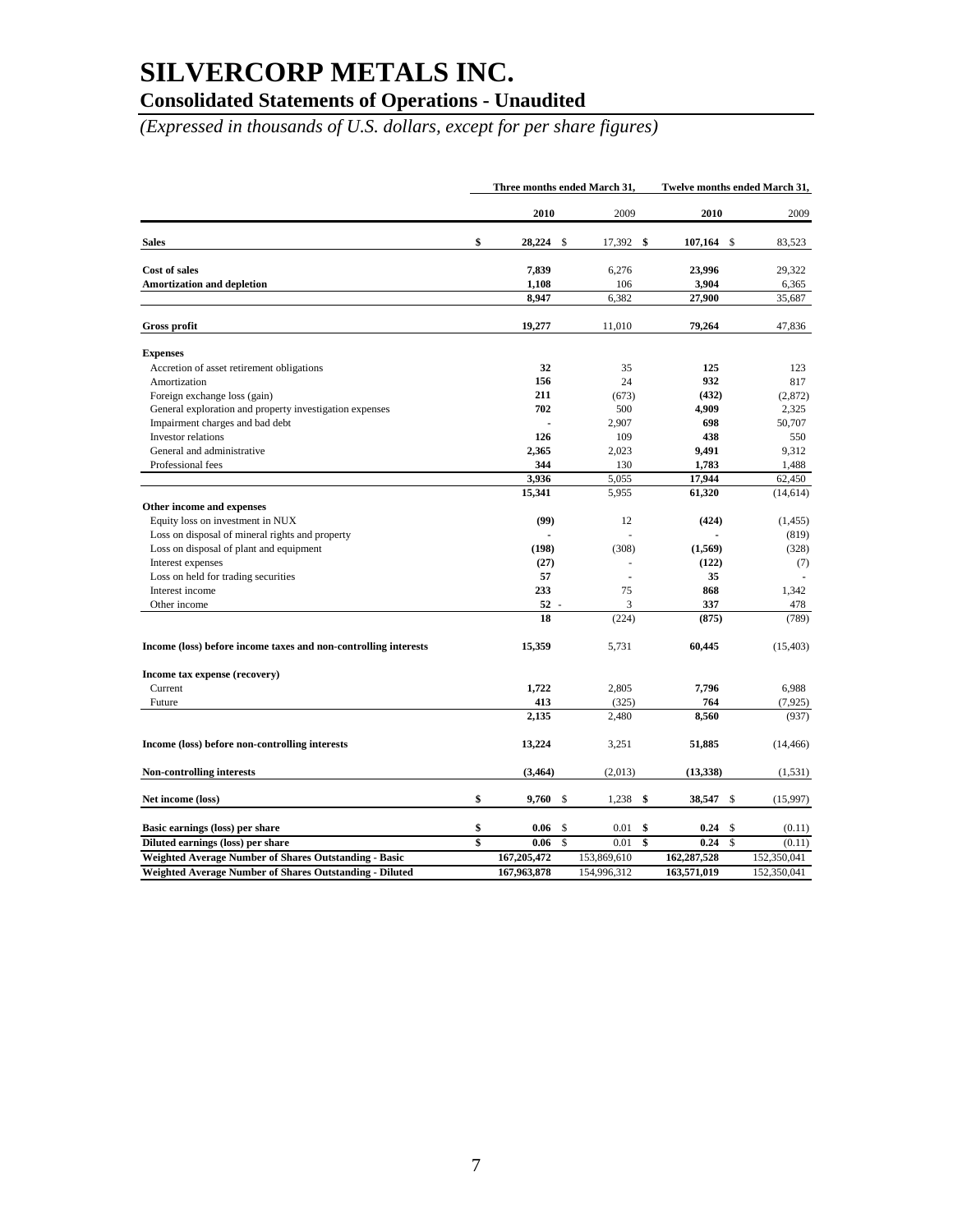## **Consolidated Statements of Operations - Unaudited**

*(Expressed in thousands of U.S. dollars, except for per share figures)*

|                                                                 | Three months ended March 31, |    |                | Twelve months ended March 31, |              |     |                   |
|-----------------------------------------------------------------|------------------------------|----|----------------|-------------------------------|--------------|-----|-------------------|
|                                                                 | 2010                         |    | 2009           |                               | 2010         |     | 2009              |
| <b>Sales</b>                                                    | \$<br>28,224                 | \$ | 17,392         | \$                            | 107,164      | \$  | 83,523            |
| Cost of sales                                                   | 7,839                        |    | 6,276          |                               | 23,996       |     | 29,322            |
| <b>Amortization and depletion</b>                               | 1,108                        |    | 106            |                               | 3,904        |     | 6,365             |
|                                                                 | 8,947                        |    | 6,382          |                               | 27,900       |     | 35,687            |
| <b>Gross profit</b>                                             | 19,277                       |    | 11,010         |                               | 79,264       |     | 47,836            |
| <b>Expenses</b>                                                 |                              |    |                |                               |              |     |                   |
| Accretion of asset retirement obligations                       | 32                           |    | 35             |                               | 125          |     | 123               |
| Amortization                                                    | 156                          |    | 24             |                               | 932          |     | 817               |
| Foreign exchange loss (gain)                                    | 211                          |    | (673)          |                               | (432)        |     | (2,872)           |
| General exploration and property investigation expenses         | 702                          |    | 500            |                               | 4,909        |     | 2,325             |
| Impairment charges and bad debt                                 | $\overline{a}$               |    | 2,907          |                               | 698          |     | 50,707            |
| Investor relations                                              | 126                          |    | 109            |                               | 438          |     | 550               |
| General and administrative                                      | 2,365                        |    | 2,023          |                               | 9,491        |     | 9,312             |
| Professional fees                                               | 344                          |    | 130            |                               | 1,783        |     | 1,488             |
|                                                                 | 3,936                        |    | 5,055          |                               | 17,944       |     | 62,450            |
|                                                                 | 15,341                       |    | 5,955          |                               | 61,320       |     | (14, 614)         |
| Other income and expenses                                       |                              |    |                |                               |              |     |                   |
| Equity loss on investment in NUX                                | (99)                         |    | 12             |                               | (424)        |     | (1, 455)          |
| Loss on disposal of mineral rights and property                 |                              |    |                |                               |              |     | (819)             |
| Loss on disposal of plant and equipment                         | (198)                        |    | (308)          |                               | (1, 569)     |     | (328)             |
| Interest expenses                                               | (27)                         |    |                |                               | (122)        |     | (7)               |
| Loss on held for trading securities                             | 57                           |    |                |                               | 35           |     |                   |
| Interest income                                                 | 233                          |    | 75             |                               | 868          |     | 1,342             |
| Other income                                                    | 52                           |    | 3              |                               | 337          |     | 478               |
|                                                                 | 18                           |    | (224)          |                               | (875)        |     | (789)             |
|                                                                 |                              |    |                |                               |              |     |                   |
| Income (loss) before income taxes and non-controlling interests | 15,359                       |    | 5,731          |                               | 60,445       |     | (15, 403)         |
| Income tax expense (recovery)                                   |                              |    |                |                               |              |     |                   |
| Current                                                         | 1,722                        |    | 2,805          |                               | 7,796        |     | 6,988             |
| Future                                                          | 413<br>2,135                 |    | (325)<br>2,480 |                               | 764<br>8,560 |     | (7, 925)<br>(937) |
| Income (loss) before non-controlling interests                  | 13,224                       |    | 3,251          |                               | 51,885       |     | (14, 466)         |
| Non-controlling interests                                       | (3, 464)                     |    | (2,013)        |                               | (13, 338)    |     | (1, 531)          |
|                                                                 |                              |    |                |                               |              |     |                   |
| Net income (loss)                                               | \$<br>9,760                  | \$ | 1,238          | \$                            | 38,547       | -\$ | (15,997)          |
| Basic earnings (loss) per share                                 | \$<br>0.06                   | \$ | 0.01           | \$                            | 0.24         | \$  | (0.11)            |
| Diluted earnings (loss) per share                               | \$<br>0.06                   | \$ | 0.01           | \$                            | 0.24         | \$  | (0.11)            |
| <b>Weighted Average Number of Shares Outstanding - Basic</b>    | 167,205,472                  |    | 153,869,610    |                               | 162,287,528  |     | 152,350,041       |
| Weighted Average Number of Shares Outstanding - Diluted         | 167.963.878                  |    | 154,996.312    |                               | 163,571,019  |     | 152,350,041       |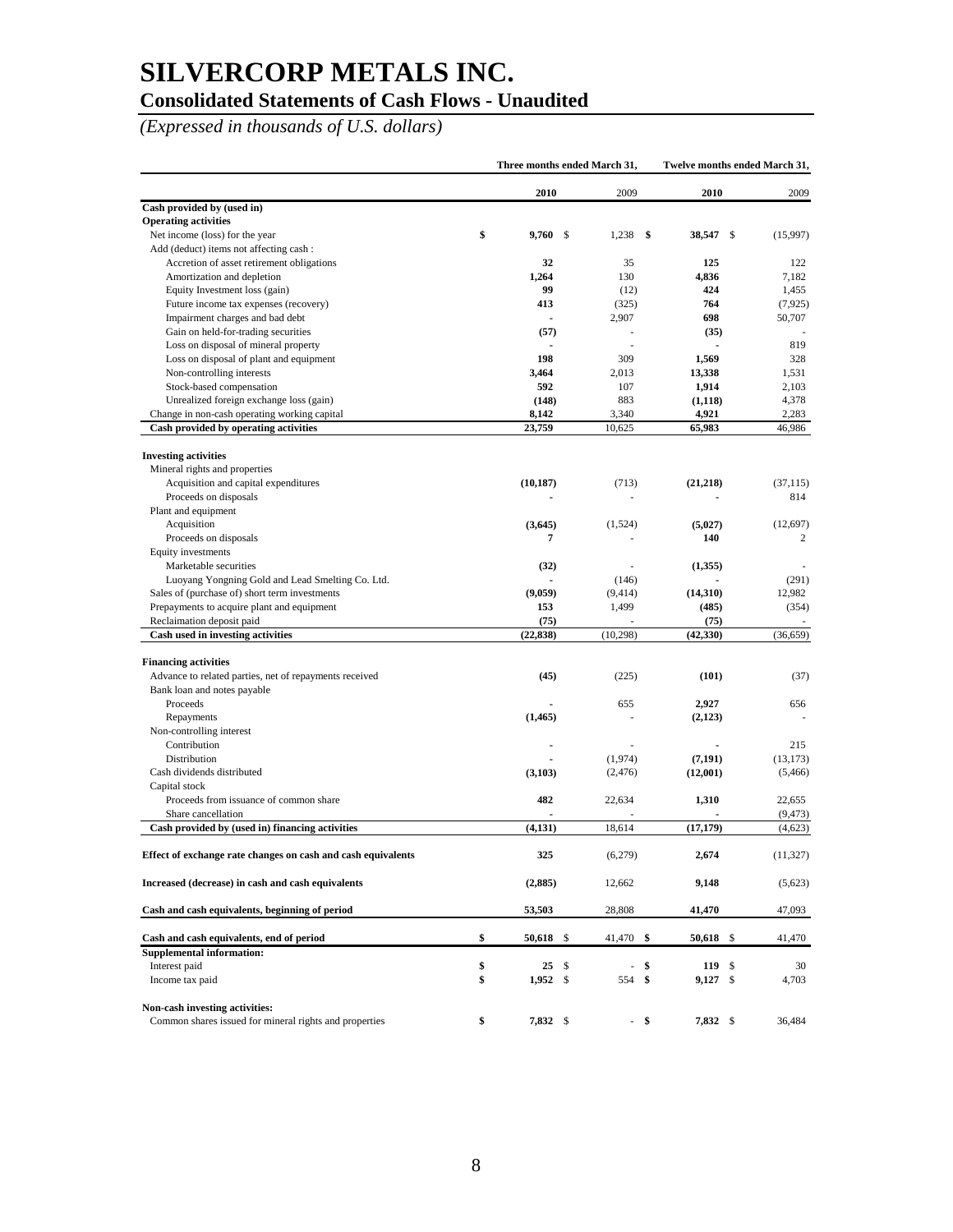### **Consolidated Statements of Cash Flows - Unaudited**

*(Expressed in thousands of U.S. dollars)*

|                                                              |                      | Three months ended March 31, |                  | Twelve months ended March 31, |
|--------------------------------------------------------------|----------------------|------------------------------|------------------|-------------------------------|
|                                                              | 2010                 | 2009                         | 2010             | 2009                          |
| Cash provided by (used in)                                   |                      |                              |                  |                               |
| <b>Operating activities</b>                                  |                      |                              |                  |                               |
| Net income (loss) for the year                               | \$<br>9,760          | \$<br>1,238                  | \$<br>38,547 \$  | (15,997)                      |
| Add (deduct) items not affecting cash:                       |                      |                              |                  |                               |
| Accretion of asset retirement obligations                    | 32                   | 35                           | 125              | 122                           |
| Amortization and depletion                                   | 1,264                | 130                          | 4,836            | 7,182                         |
| Equity Investment loss (gain)                                | 99                   | (12)                         | 424              | 1,455                         |
| Future income tax expenses (recovery)                        | 413                  | (325)                        | 764              | (7, 925)                      |
| Impairment charges and bad debt                              |                      | 2,907                        | 698              | 50,707                        |
| Gain on held-for-trading securities                          | (57)                 |                              | (35)             |                               |
| Loss on disposal of mineral property                         |                      |                              | $\overline{a}$   | 819                           |
| Loss on disposal of plant and equipment                      | 198                  | 309                          | 1,569            | 328                           |
| Non-controlling interests                                    | 3,464                | 2,013                        | 13,338           | 1,531                         |
| Stock-based compensation                                     | 592                  | 107                          | 1,914            | 2,103                         |
| Unrealized foreign exchange loss (gain)                      | (148)                | 883                          | (1, 118)         | 4,378                         |
| Change in non-cash operating working capital                 | 8,142                | 3,340                        | 4,921            | 2,283                         |
| Cash provided by operating activities                        | 23,759               | 10,625                       | 65,983           | 46,986                        |
| <b>Investing activities</b>                                  |                      |                              |                  |                               |
| Mineral rights and properties                                |                      |                              |                  |                               |
| Acquisition and capital expenditures                         | (10, 187)            | (713)                        | (21, 218)        | (37.115)                      |
| Proceeds on disposals                                        |                      | ÷,                           |                  | 814                           |
| Plant and equipment                                          |                      |                              |                  |                               |
| Acquisition                                                  | (3,645)              | (1,524)                      | (5,027)          | (12, 697)                     |
| Proceeds on disposals                                        | 7                    |                              | 140              | 2                             |
| Equity investments                                           |                      |                              |                  |                               |
| Marketable securities                                        | (32)                 |                              | (1,355)          |                               |
| Luoyang Yongning Gold and Lead Smelting Co. Ltd.             |                      | (146)                        |                  | (291)                         |
| Sales of (purchase of) short term investments                | (9,059)              | (9, 414)                     | (14,310)         | 12,982                        |
| Prepayments to acquire plant and equipment                   | 153                  | 1,499                        | (485)            | (354)                         |
| Reclaimation deposit paid                                    | (75)                 |                              | (75)             |                               |
| Cash used in investing activities                            | (22, 838)            | (10, 298)                    | (42, 330)        | (36, 659)                     |
| <b>Financing activities</b>                                  |                      |                              |                  |                               |
| Advance to related parties, net of repayments received       | (45)                 | (225)                        | (101)            | (37)                          |
| Bank loan and notes payable                                  |                      |                              |                  |                               |
| Proceeds                                                     |                      | 655                          | 2,927            | 656                           |
| Repayments                                                   | (1, 465)             |                              | (2, 123)         |                               |
| Non-controlling interest                                     |                      |                              |                  |                               |
| Contribution                                                 |                      |                              |                  | 215                           |
| Distribution                                                 |                      | (1,974)                      | (7, 191)         | (13, 173)                     |
| Cash dividends distributed                                   | (3,103)              | (2, 476)                     | (12,001)         | (5,466)                       |
| Capital stock                                                |                      |                              |                  |                               |
| Proceeds from issuance of common share                       | 482                  | 22,634                       | 1,310            | 22,655                        |
| Share cancellation                                           |                      |                              |                  | (9, 473)                      |
| Cash provided by (used in) financing activities              | (4, 131)             | 18,614                       | (17, 179)        | (4,623)                       |
| Effect of exchange rate changes on cash and cash equivalents | 325                  | (6,279)                      | 2,674            | (11, 327)                     |
| Increased (decrease) in cash and cash equivalents            | (2,885)              | 12,662                       | 9,148            | (5,623)                       |
| Cash and cash equivalents, beginning of period               | 53,503               | 28,808                       | 41,470           | 47,093                        |
| Cash and cash equivalents, end of period                     | \$<br>50,618<br>- \$ | 41,470                       | 50,618 \$<br>-\$ | 41,470                        |
| <b>Supplemental information:</b>                             |                      |                              |                  |                               |
| Interest paid                                                | \$<br>25<br>- \$     |                              | \$<br>119S       | 30                            |
| Income tax paid                                              | \$<br>$1,952$ \$     | 554                          | \$<br>$9,127$ \$ | 4,703                         |
| Non-cash investing activities:                               |                      |                              |                  |                               |
| Common shares issued for mineral rights and properties       | \$<br>7,832 \$       |                              | - \$<br>7,832 \$ | 36,484                        |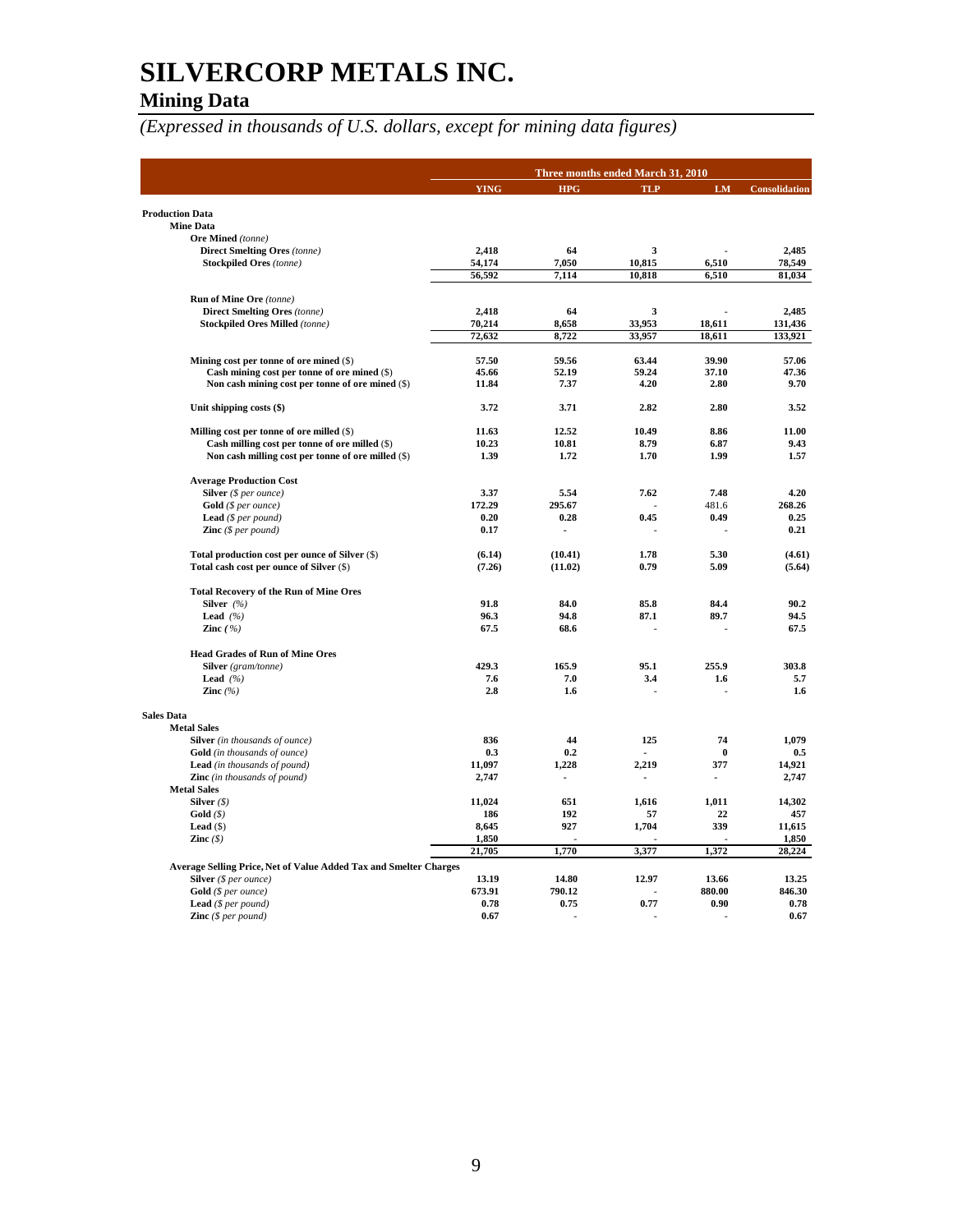## **Mining Data**

|                                                                                             |                 |                | Three months ended March 31, 2010 |          |                      |
|---------------------------------------------------------------------------------------------|-----------------|----------------|-----------------------------------|----------|----------------------|
|                                                                                             | <b>YING</b>     | <b>HPG</b>     | <b>TLP</b>                        | LM       | <b>Consolidation</b> |
|                                                                                             |                 |                |                                   |          |                      |
| <b>Production Data</b><br><b>Mine Data</b>                                                  |                 |                |                                   |          |                      |
| Ore Mined (tonne)                                                                           |                 |                |                                   |          |                      |
| <b>Direct Smelting Ores (tonne)</b>                                                         | 2,418           | 64             | 3                                 |          | 2.485                |
| <b>Stockpiled Ores</b> (tonne)                                                              | 54,174          | 7,050          | 10,815                            | 6,510    | 78,549               |
|                                                                                             | 56,592          | 7,114          | 10,818                            | 6,510    | 81,034               |
|                                                                                             |                 |                |                                   |          |                      |
| Run of Mine Ore (tonne)                                                                     |                 |                |                                   |          |                      |
| <b>Direct Smelting Ores (tonne)</b><br><b>Stockpiled Ores Milled</b> (tonne)                | 2,418<br>70,214 | 64<br>8,658    | 3<br>33,953                       | 18,611   | 2.485<br>131,436     |
|                                                                                             | 72,632          | 8,722          | 33.957                            | 18,611   | 133,921              |
|                                                                                             |                 |                |                                   |          |                      |
| Mining cost per tonne of ore mined (\$)                                                     | 57.50           | 59.56          | 63.44                             | 39.90    | 57.06                |
| Cash mining cost per tonne of ore mined (\$)                                                | 45.66           | 52.19          | 59.24                             | 37.10    | 47.36                |
| Non cash mining cost per tonne of ore mined (\$)                                            | 11.84           | 7.37           | 4.20                              | 2.80     | 9.70                 |
| Unit shipping costs (\$)                                                                    | 3.72            | 3.71           | 2.82                              | 2.80     | 3.52                 |
| Milling cost per tonne of ore milled (\$)                                                   | 11.63           | 12.52          | 10.49                             | 8.86     | 11.00                |
| Cash milling cost per tonne of ore milled (\$)                                              | 10.23           | 10.81          | 8.79                              | 6.87     | 9.43                 |
| Non cash milling cost per tonne of ore milled (\$)                                          | 1.39            | 1.72           | 1.70                              | 1.99     | 1.57                 |
|                                                                                             |                 |                |                                   |          |                      |
| <b>Average Production Cost</b>                                                              |                 |                |                                   |          |                      |
| Silver (\$ per ounce)                                                                       | 3.37            | 5.54           | 7.62                              | 7.48     | 4.20                 |
| <b>Gold</b> ( $$ per ounce$ )                                                               | 172.29          | 295.67         |                                   | 481.6    | 268.26               |
| <b>Lead</b> ( $$per pound$ )                                                                | 0.20            | 0.28           | 0.45                              | 0.49     | 0.25                 |
| <b>Zinc</b> $(S \text{ per pound})$                                                         | 0.17            | $\blacksquare$ | J.                                |          | 0.21                 |
| Total production cost per ounce of Silver (\$)                                              | (6.14)          | (10.41)        | 1.78                              | 5.30     | (4.61)               |
| Total cash cost per ounce of Silver (\$)                                                    | (7.26)          | (11.02)        | 0.79                              | 5.09     | (5.64)               |
| <b>Total Recovery of the Run of Mine Ores</b>                                               |                 |                |                                   |          |                      |
| Silver $(%$                                                                                 | 91.8            | 84.0           | 85.8                              | 84.4     | 90.2                 |
| Lead $(%$                                                                                   | 96.3            | 94.8           | 87.1                              | 89.7     | 94.5                 |
| Zinc $(%)$                                                                                  | 67.5            | 68.6           | J.                                |          | 67.5                 |
| <b>Head Grades of Run of Mine Ores</b>                                                      |                 |                |                                   |          |                      |
| <b>Silver</b> (gram/tonne)                                                                  | 429.3           | 165.9          | 95.1                              | 255.9    | 303.8                |
| Lead $(%$                                                                                   | 7.6             | 7.0            | 3.4                               | 1.6      | 5.7                  |
| Zinc $(%$                                                                                   | 2.8             | 1.6            |                                   |          | 1.6                  |
| <b>Sales Data</b>                                                                           |                 |                |                                   |          |                      |
| <b>Metal Sales</b>                                                                          |                 |                |                                   |          |                      |
| Silver (in thousands of ounce)                                                              | 836             | 44             | 125                               | 74       | 1,079                |
| <b>Gold</b> (in thousands of ounce)                                                         | 0.3             | 0.2            |                                   | $\bf{0}$ | 0.5                  |
| Lead (in thousands of pound)                                                                | 11,097          | 1,228          | 2,219                             | 377      | 14,921               |
| <b>Zinc</b> (in thousands of pound)                                                         | 2,747           |                |                                   |          | 2,747                |
| <b>Metal Sales</b>                                                                          |                 |                |                                   |          |                      |
| Silver $(\$)$                                                                               | 11,024          | 651            | 1,616                             | 1,011    | 14,302               |
| Gold(S)                                                                                     | 186             | 192            | 57                                | 22       | 457                  |
| Lead $($ )                                                                                  | 8,645           | 927            | 1,704                             | 339      | 11,615               |
| Zinc $(\$)$                                                                                 | 1,850<br>21,705 | 1,770          | 3,377                             | 1,372    | 1,850<br>28,224      |
|                                                                                             |                 |                |                                   |          |                      |
| Average Selling Price, Net of Value Added Tax and Smelter Charges<br>Silver $(§ per ounce)$ | 13.19           | 14.80          | 12.97                             | 13.66    | 13.25                |
| Gold (\$ per ounce)                                                                         | 673.91          | 790.12         |                                   | 880.00   | 846.30               |
| <b>Lead</b> ( $$per pound$ )                                                                | 0.78            | 0.75           | 0.77                              | 0.90     | 0.78                 |
| <b>Zinc</b> $(\$ per pound)$                                                                | 0.67            |                |                                   |          | 0.67                 |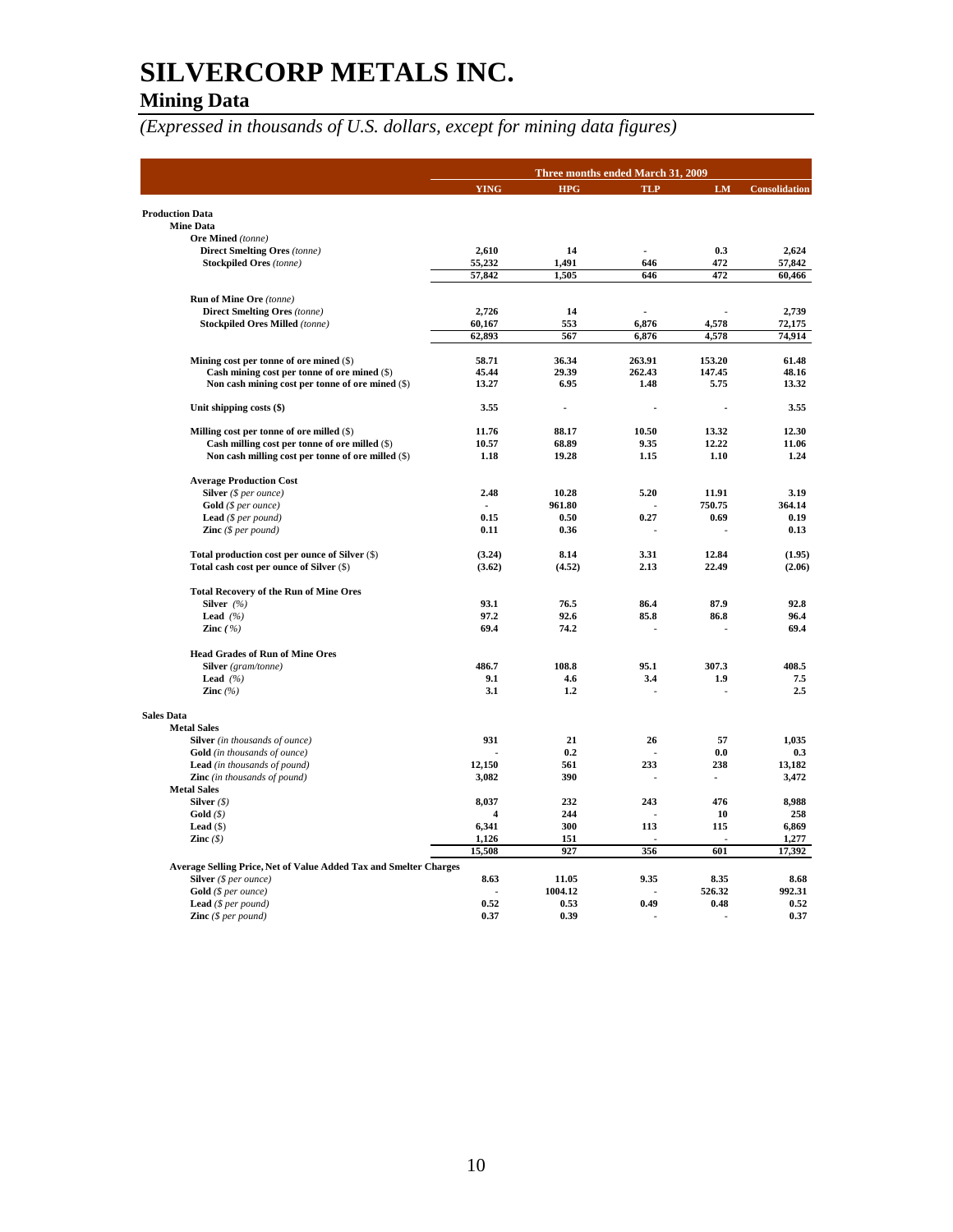## **SILVERCORP METALS INC. Mining Data**

|                                                                                            | Three months ended March 31, 2009 |                          |                |           |                      |  |
|--------------------------------------------------------------------------------------------|-----------------------------------|--------------------------|----------------|-----------|----------------------|--|
|                                                                                            | <b>YING</b>                       | <b>HPG</b>               | <b>TLP</b>     | <b>LM</b> | <b>Consolidation</b> |  |
| <b>Production Data</b>                                                                     |                                   |                          |                |           |                      |  |
| <b>Mine Data</b>                                                                           |                                   |                          |                |           |                      |  |
| Ore Mined (tonne)                                                                          |                                   |                          |                |           |                      |  |
| <b>Direct Smelting Ores (tonne)</b>                                                        | 2,610                             | 14                       | $\overline{a}$ | 0.3       | 2,624                |  |
| <b>Stockpiled Ores</b> (tonne)                                                             | 55,232                            | 1,491                    | 646            | 472       | 57,842               |  |
|                                                                                            | 57,842                            | 1,505                    | 646            | 472       | 60,466               |  |
| <b>Run of Mine Ore (tonne)</b>                                                             |                                   |                          |                |           |                      |  |
| <b>Direct Smelting Ores (tonne)</b>                                                        | 2,726                             | 14                       | $\overline{a}$ |           | 2,739                |  |
| <b>Stockpiled Ores Milled (tonne)</b>                                                      | 60,167                            | 553                      | 6,876          | 4,578     | 72,175               |  |
|                                                                                            | 62,893                            | 567                      | 6,876          | 4,578     | 74,914               |  |
| Mining cost per tonne of ore mined (\$)                                                    | 58.71                             | 36.34                    | 263.91         | 153.20    | 61.48                |  |
| Cash mining cost per tonne of ore mined (\$)                                               | 45.44                             | 29.39                    | 262.43         | 147.45    | 48.16                |  |
| Non cash mining cost per tonne of ore mined (\$)                                           | 13.27                             | 6.95                     | 1.48           | 5.75      | 13.32                |  |
| Unit shipping costs (\$)                                                                   | 3.55                              | $\overline{\phantom{a}}$ |                |           | 3.55                 |  |
| Milling cost per tonne of ore milled (\$)                                                  | 11.76                             | 88.17                    | 10.50          | 13.32     | 12.30                |  |
| Cash milling cost per tonne of ore milled (\$)                                             | 10.57                             | 68.89                    | 9.35           | 12.22     | 11.06                |  |
| Non cash milling cost per tonne of ore milled (\$)                                         | 1.18                              | 19.28                    | 1.15           | 1.10      | 1.24                 |  |
| <b>Average Production Cost</b>                                                             |                                   |                          |                |           |                      |  |
| Silver (\$ per ounce)                                                                      | 2.48                              | 10.28                    | 5.20           | 11.91     | 3.19                 |  |
| $Gold$ (\$ per ounce)                                                                      |                                   | 961.80                   |                | 750.75    | 364.14               |  |
| <b>Lead</b> $(S \text{ per pound})$                                                        | 0.15                              | 0.50                     | 0.27           | 0.69      | 0.19                 |  |
| <b>Zinc</b> $(\$ per pound)$                                                               | 0.11                              | 0.36                     |                |           | 0.13                 |  |
| Total production cost per ounce of Silver (\$)                                             | (3.24)                            | 8.14                     | 3.31           | 12.84     | (1.95)               |  |
| Total cash cost per ounce of Silver (\$)                                                   | (3.62)                            | (4.52)                   | 2.13           | 22.49     | (2.06)               |  |
| <b>Total Recovery of the Run of Mine Ores</b>                                              |                                   |                          |                |           |                      |  |
| Silver $(%)$                                                                               | 93.1                              | 76.5                     | 86.4           | 87.9      | 92.8                 |  |
| Lead $(%$                                                                                  | 97.2                              | 92.6                     | 85.8           | 86.8      | 96.4                 |  |
| Zinc $(%)$                                                                                 | 69.4                              | 74.2                     |                |           | 69.4                 |  |
| <b>Head Grades of Run of Mine Ores</b>                                                     |                                   |                          |                |           |                      |  |
| Silver (gram/tonne)                                                                        | 486.7                             | 108.8                    | 95.1           | 307.3     | 408.5                |  |
| Lead $(%$                                                                                  | 9.1                               | 4.6                      | 3.4            | 1.9       | 7.5                  |  |
| Zinc $(%$                                                                                  | 3.1                               | 1.2                      |                |           | 2.5                  |  |
| <b>Sales Data</b>                                                                          |                                   |                          |                |           |                      |  |
| <b>Metal Sales</b>                                                                         |                                   |                          |                |           |                      |  |
| <b>Silver</b> (in thousands of ounce)                                                      | 931                               | 21                       | 26             | 57        | 1,035                |  |
| <b>Gold</b> (in thousands of ounce)                                                        |                                   | 0.2                      |                | 0.0       | 0.3                  |  |
| <b>Lead</b> (in thousands of pound)                                                        | 12,150                            | 561                      | 233            | 238       | 13,182               |  |
| <b>Zinc</b> (in thousands of pound)                                                        | 3,082                             | 390                      |                |           | 3,472                |  |
| <b>Metal Sales</b>                                                                         |                                   |                          |                |           |                      |  |
| Silver $(\$)$                                                                              | 8,037                             | 232                      | 243            | 476       | 8,988                |  |
| Gold(S)                                                                                    | $\overline{\mathbf{A}}$           | 244                      |                | 10        | 258                  |  |
| Lead $($ )                                                                                 | 6,341                             | 300                      | 113            | 115       | 6,869                |  |
| Zinc $(\$)$                                                                                | 1,126                             | 151                      |                |           | 1,277                |  |
|                                                                                            | 15,508                            | 927                      | 356            | 601       | 17,392               |  |
| Average Selling Price, Net of Value Added Tax and Smelter Charges<br>Silver (\$ per ounce) | 8.63                              | 11.05                    | 9.35           | 8.35      | 8.68                 |  |
| Gold (\$ per ounce)                                                                        |                                   | 1004.12                  |                | 526.32    | 992.31               |  |
| Lead (\$ per pound)                                                                        | 0.52                              | 0.53                     | 0.49           | 0.48      | 0.52                 |  |
| <b>Zinc</b> $(\$ per pound)$                                                               | 0.37                              | 0.39                     |                |           | 0.37                 |  |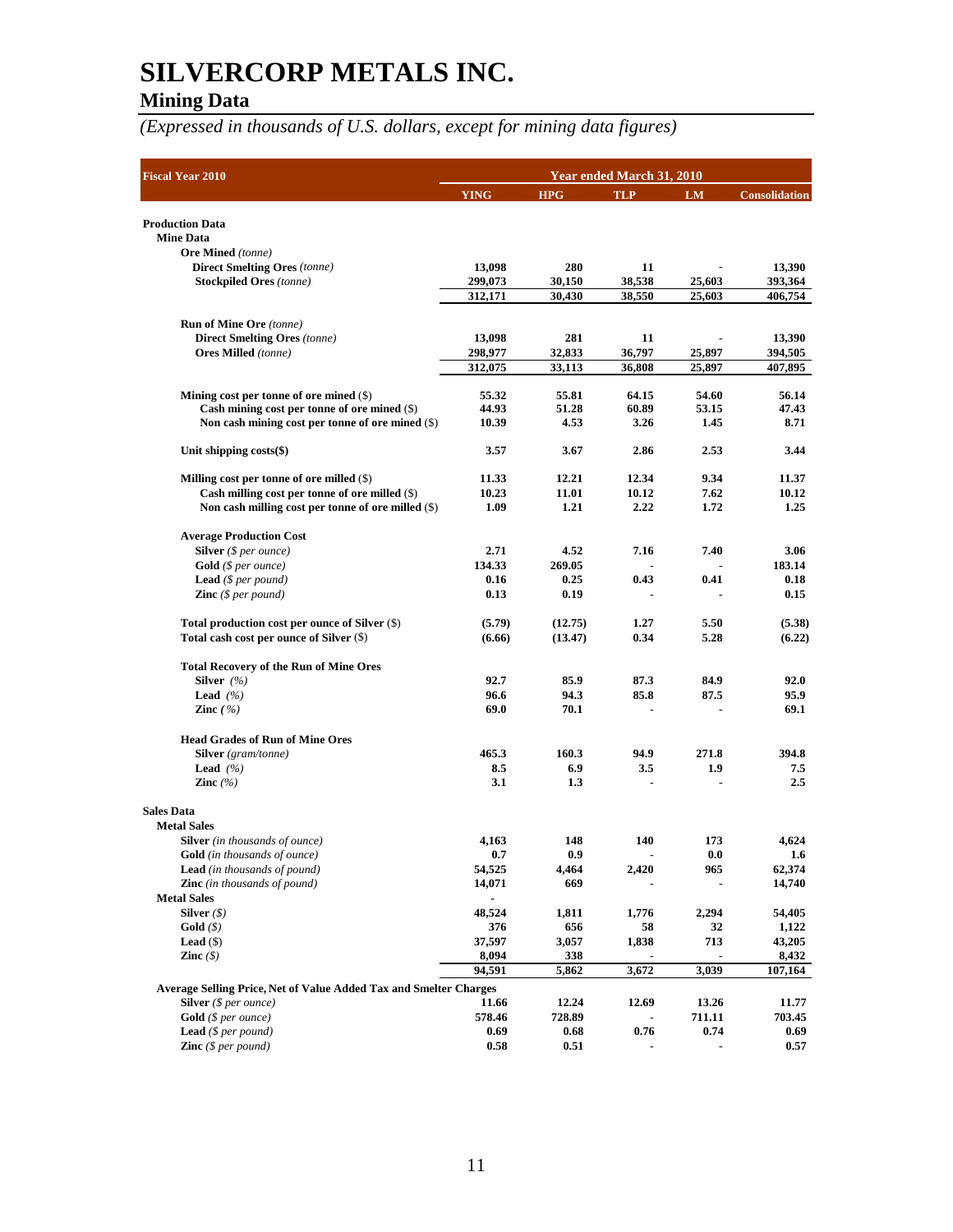## **Mining Data**

| <b>Fiscal Year 2010</b>                                               | Year ended March 31, 2010 |                |            |                |                      |  |  |
|-----------------------------------------------------------------------|---------------------------|----------------|------------|----------------|----------------------|--|--|
|                                                                       | <b>YING</b>               | <b>HPG</b>     | <b>TLP</b> | <b>LM</b>      | <b>Consolidation</b> |  |  |
|                                                                       |                           |                |            |                |                      |  |  |
| <b>Production Data</b>                                                |                           |                |            |                |                      |  |  |
| <b>Mine Data</b>                                                      |                           |                |            |                |                      |  |  |
| Ore Mined (tonne)                                                     | 13,098                    | 280            | 11         |                |                      |  |  |
| <b>Direct Smelting Ores</b> (tonne)<br><b>Stockpiled Ores</b> (tonne) | 299,073                   | 30,150         | 38,538     | 25,603         | 13,390<br>393,364    |  |  |
|                                                                       | 312,171                   | 30,430         | 38,550     | 25,603         | 406,754              |  |  |
|                                                                       |                           |                |            |                |                      |  |  |
| <b>Run of Mine Ore</b> (tonne)                                        |                           |                |            |                |                      |  |  |
| <b>Direct Smelting Ores</b> (tonne)                                   | 13,098                    | 281            | 11         |                | 13,390               |  |  |
| <b>Ores Milled</b> (tonne)                                            | 298,977                   | 32,833         | 36,797     | 25,897         | 394,505              |  |  |
|                                                                       | 312,075                   | 33,113         | 36,808     | 25,897         | 407,895              |  |  |
| Mining cost per tonne of ore mined $(\$)$                             | 55.32                     | 55.81          | 64.15      | 54.60          | 56.14                |  |  |
| Cash mining cost per tonne of ore mined $(\$)$                        | 44.93                     | 51.28          | 60.89      | 53.15          | 47.43                |  |  |
| Non cash mining cost per tonne of ore mined (\$)                      | 10.39                     | 4.53           | 3.26       | 1.45           | 8.71                 |  |  |
|                                                                       |                           |                |            |                |                      |  |  |
| Unit shipping $costs(\$)$                                             | 3.57                      | 3.67           | 2.86       | 2.53           | 3.44                 |  |  |
| Milling cost per tonne of ore milled $(\$)$                           | 11.33                     | 12.21          | 12.34      | 9.34           | 11.37                |  |  |
| Cash milling cost per tonne of ore milled $(\$)$                      | 10.23                     | 11.01          | 10.12      | 7.62           | 10.12                |  |  |
| Non cash milling cost per tonne of ore milled (\$)                    | 1.09                      | 1.21           | 2.22       | 1.72           | 1.25                 |  |  |
|                                                                       |                           |                |            |                |                      |  |  |
| <b>Average Production Cost</b>                                        |                           |                |            |                |                      |  |  |
| <b>Silver</b> ( $$ per ounce$ )                                       | 2.71                      | 4.52           | 7.16       | 7.40           | 3.06                 |  |  |
| <b>Gold</b> (\$ per ounce)                                            | 134.33                    | 269.05         |            |                | 183.14               |  |  |
| <b>Lead</b> (\$ per pound)                                            | 0.16                      | 0.25           | 0.43       | 0.41           | 0.18                 |  |  |
| <b>Zinc</b> $(\$ per pound)$                                          | 0.13                      | 0.19           |            |                | 0.15                 |  |  |
| Total production cost per ounce of Silver (\$)                        | (5.79)                    | (12.75)        | 1.27       | 5.50           | (5.38)               |  |  |
| Total cash cost per ounce of Silver (\$)                              | (6.66)                    | (13.47)        | 0.34       | 5.28           | (6.22)               |  |  |
|                                                                       |                           |                |            |                |                      |  |  |
| <b>Total Recovery of the Run of Mine Ores</b><br>Silver $(%)$         | 92.7                      | 85.9           | 87.3       | 84.9           | 92.0                 |  |  |
| <b>Lead</b> $(\%)$                                                    | 96.6                      | 94.3           | 85.8       | 87.5           | 95.9                 |  |  |
| Zinc $(\% )$                                                          | 69.0                      | 70.1           |            |                | 69.1                 |  |  |
|                                                                       |                           |                |            |                |                      |  |  |
| <b>Head Grades of Run of Mine Ores</b>                                |                           |                |            |                |                      |  |  |
| Silver (gram/tonne)                                                   | 465.3                     | 160.3          | 94.9       | 271.8          | 394.8                |  |  |
| <b>Lead</b> $(\%)$                                                    | 8.5                       | 6.9            | 3.5        | 1.9            | 7.5                  |  |  |
| Zinc $(%$                                                             | 3.1                       | 1.3            |            |                | 2.5                  |  |  |
| <b>Sales Data</b>                                                     |                           |                |            |                |                      |  |  |
| <b>Metal Sales</b>                                                    |                           |                |            |                |                      |  |  |
| <b>Silver</b> (in thousands of ounce)                                 | 4,163                     | 148            | 140        | 173            | 4,624                |  |  |
| Gold (in thousands of ounce)                                          | 0.7                       | 0.9            |            | $0.0\,$        | 1.6                  |  |  |
| <b>Lead</b> (in thousands of pound)                                   | 54,525                    | 4,464          | 2,420      | 965            | 62,374               |  |  |
| <b>Zinc</b> (in thousands of pound)                                   | 14,071                    | 669            |            |                | 14,740               |  |  |
| <b>Metal Sales</b>                                                    | $\blacksquare$            |                |            |                |                      |  |  |
| Silver $(\$)$                                                         | 48,524                    | 1,811          | 1,776      | 2,294          | 54,405               |  |  |
| Gold $(\$)$                                                           | 376                       | 656            | 58         | 32             | 1,122                |  |  |
| Lead $(\$)$                                                           | 37,597                    | 3,057          | 1,838      | 713            | 43,205               |  |  |
| Zinc $(\$)$                                                           | 8,094                     | 338            |            |                | 8,432                |  |  |
|                                                                       | 94,591                    | 5,862          | 3,672      | 3,039          | 107,164              |  |  |
| Average Selling Price, Net of Value Added Tax and Smelter Charges     |                           |                |            |                |                      |  |  |
| <b>Silver</b> ( $$ per ounce$ )                                       | 11.66                     | 12.24          | 12.69      | 13.26          | 11.77                |  |  |
| $Gold$ (\$ per ounce)<br><b>Lead</b> (\$ per pound)                   | 578.46<br>0.69            | 728.89<br>0.68 | 0.76       | 711.11<br>0.74 | 703.45<br>0.69       |  |  |
| <b>Zinc</b> $(S \text{ per pound})$                                   | 0.58                      | 0.51           |            |                | 0.57                 |  |  |
|                                                                       |                           |                |            |                |                      |  |  |